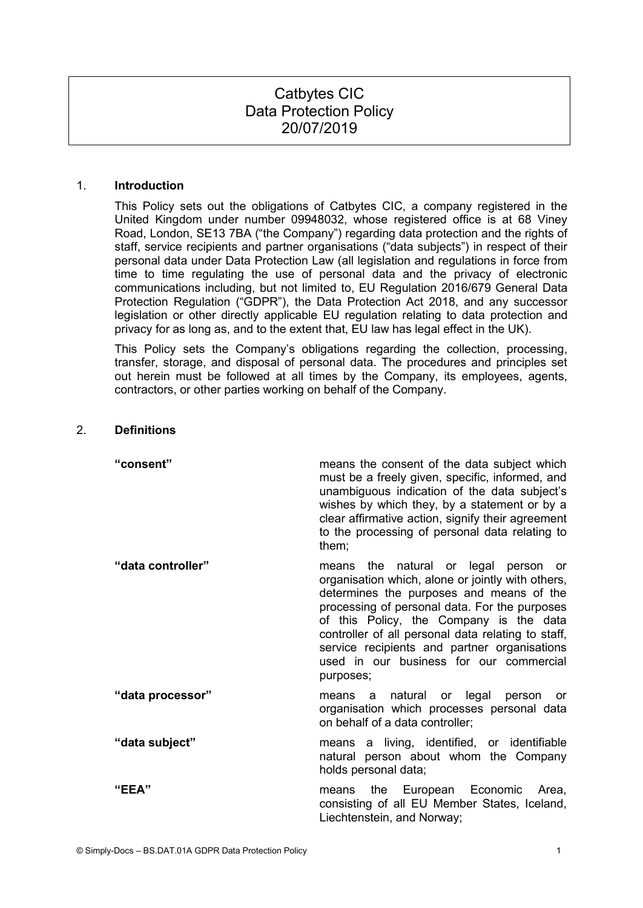# Catbytes CIC Data Protection Policy 20/07/2019

#### 1. **Introduction**

This Policy sets out the obligations of Catbytes CIC, a company registered in the United Kingdom under number 09948032, whose registered office is at 68 Viney Road, London, SE13 7BA ("the Company") regarding data protection and the rights of staff, service recipients and partner organisations ("data subjects") in respect of their personal data under Data Protection Law (all legislation and regulations in force from time to time regulating the use of personal data and the privacy of electronic communications including, but not limited to, EU Regulation 2016/679 General Data Protection Regulation ("GDPR"), the Data Protection Act 2018, and any successor legislation or other directly applicable EU regulation relating to data protection and privacy for as long as, and to the extent that, EU law has legal effect in the UK).

This Policy sets the Company's obligations regarding the collection, processing, transfer, storage, and disposal of personal data. The procedures and principles set out herein must be followed at all times by the Company, its employees, agents, contractors, or other parties working on behalf of the Company.

### 2. **Definitions**

| "consent"         | means the consent of the data subject which<br>must be a freely given, specific, informed, and<br>unambiguous indication of the data subject's<br>wishes by which they, by a statement or by a<br>clear affirmative action, signify their agreement<br>to the processing of personal data relating to<br>them;                                                                                  |
|-------------------|-------------------------------------------------------------------------------------------------------------------------------------------------------------------------------------------------------------------------------------------------------------------------------------------------------------------------------------------------------------------------------------------------|
| "data controller" | means the natural or legal person or<br>organisation which, alone or jointly with others,<br>determines the purposes and means of the<br>processing of personal data. For the purposes<br>of this Policy, the Company is the data<br>controller of all personal data relating to staff,<br>service recipients and partner organisations<br>used in our business for our commercial<br>purposes; |
| "data processor"  | means a natural or legal person or<br>organisation which processes personal data<br>on behalf of a data controller;                                                                                                                                                                                                                                                                             |
| "data subject"    | means a living, identified, or identifiable<br>natural person about whom the Company<br>holds personal data;                                                                                                                                                                                                                                                                                    |
| "EEA"             | European Economic Area,<br>means the<br>consisting of all EU Member States, Iceland,<br>Liechtenstein, and Norway;                                                                                                                                                                                                                                                                              |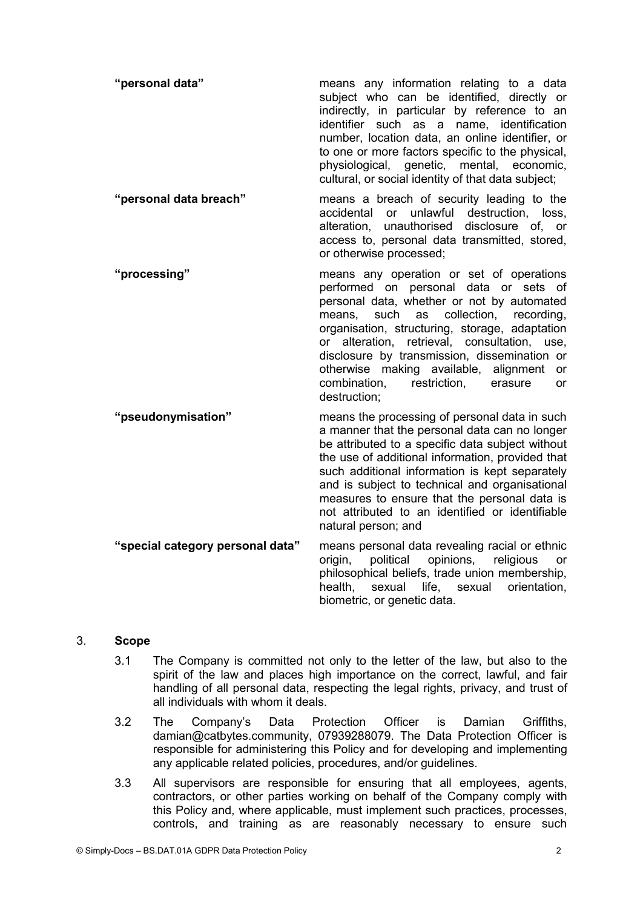| "personal data"        | means any information relating to a data<br>subject who can be identified, directly or<br>indirectly, in particular by reference to an<br>identifier such as a name, identification<br>number, location data, an online identifier, or<br>to one or more factors specific to the physical,<br>physiological, genetic, mental, economic,<br>cultural, or social identity of that data subject;                                                  |
|------------------------|------------------------------------------------------------------------------------------------------------------------------------------------------------------------------------------------------------------------------------------------------------------------------------------------------------------------------------------------------------------------------------------------------------------------------------------------|
| "personal data breach" | means a breach of security leading to the<br>accidental or unlawful destruction, loss,<br>alteration, unauthorised<br>disclosure of, or<br>access to, personal data transmitted, stored,<br>or otherwise processed;                                                                                                                                                                                                                            |
| "processing"           | means any operation or set of operations<br>performed on personal data or sets of<br>personal data, whether or not by automated<br>means, such as collection, recording,<br>organisation, structuring, storage, adaptation<br>or alteration, retrieval, consultation, use,<br>disclosure by transmission, dissemination or<br>otherwise making available, alignment or<br>combination,<br>restriction,<br>erasure<br><b>or</b><br>destruction; |
| "pseudonymisation"     | means the processing of personal data in such<br>a manner that the personal data can no longer<br>be attributed to a specific data subject without<br>the use of additional information, provided that<br>such additional information is kept separately<br>and is subject to technical and organisational<br>measures to ensure that the personal data is<br>not attributed to an identified or identifiable<br>natural person: and           |

**"special category personal data"** means personal data revealing racial or ethnic opinions, religious or philosophical beliefs, trade union membership, health, sexual life, sexual orientation, biometric, or genetic data.

# 3. **Scope**

- 3.1 The Company is committed not only to the letter of the law, but also to the spirit of the law and places high importance on the correct, lawful, and fair handling of all personal data, respecting the legal rights, privacy, and trust of all individuals with whom it deals.
- 3.2 The Company's Data Protection Officer is Damian Griffiths,<br>damian@catbytes.community, 07939288079. The Data Protection Officer is responsible for administering this Policy and for developing and implementing any applicable related policies, procedures, and/or guidelines.
- 3.3 All supervisors are responsible for ensuring that all employees, agents, contractors, or other parties working on behalf of the Company comply with this Policy and, where applicable, must implement such practices, processes, controls, and training as are reasonably necessary to ensure such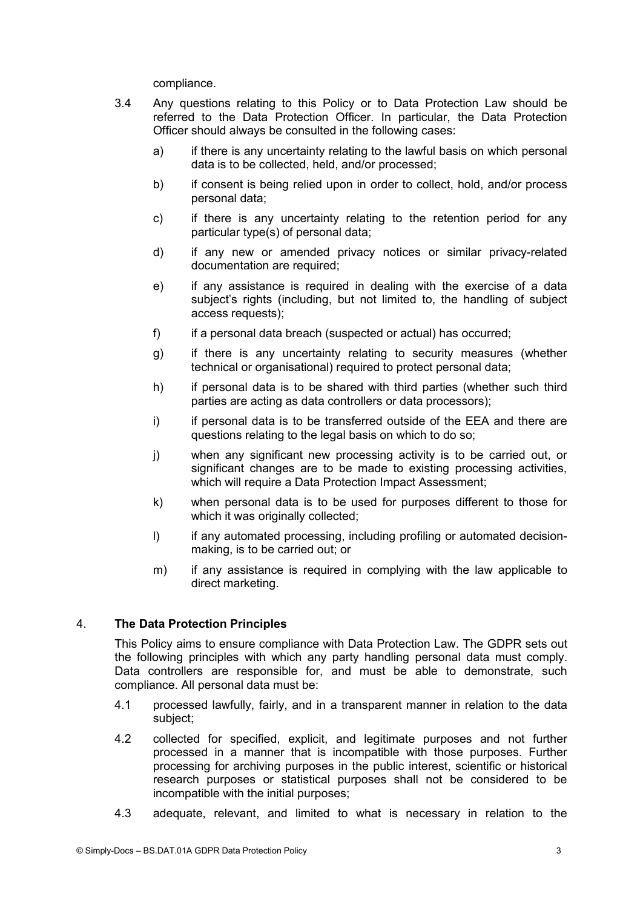compliance.

- 3.4 Any questions relating to this Policy or to Data Protection Law should be referred to the Data Protection Officer. In particular, the Data Protection Officer should always be consulted in the following cases:
	- a) if there is any uncertainty relating to the lawful basis on which personal data is to be collected, held, and/or processed;
	- b) if consent is being relied upon in order to collect, hold, and/or process personal data;
	- c) if there is any uncertainty relating to the retention period for any particular type(s) of personal data;
	- d) if any new or amended privacy notices or similar privacy-related documentation are required;
	- e) if any assistance is required in dealing with the exercise of a data subject's rights (including, but not limited to, the handling of subject access requests);
	- f) if a personal data breach (suspected or actual) has occurred;
	- g) if there is any uncertainty relating to security measures (whether technical or organisational) required to protect personal data;
	- h) if personal data is to be shared with third parties (whether such third parties are acting as data controllers or data processors);
	- i) if personal data is to be transferred outside of the EEA and there are questions relating to the legal basis on which to do so;
	- j) when any significant new processing activity is to be carried out, or significant changes are to be made to existing processing activities, which will require a Data Protection Impact Assessment;
	- k) when personal data is to be used for purposes different to those for which it was originally collected;
	- I) if any automated processing, including profiling or automated decisionmaking, is to be carried out; or
	- m) if any assistance is required in complying with the law applicable to direct marketing.

# 4. **The Data Protection Principles**

This Policy aims to ensure compliance with Data Protection Law. The GDPR sets out the following principles with which any party handling personal data must comply. Data controllers are responsible for, and must be able to demonstrate, such compliance. All personal data must be:

- 4.1 processed lawfully, fairly, and in a transparent manner in relation to the data subject;
- 4.2 collected for specified, explicit, and legitimate purposes and not further processed in a manner that is incompatible with those purposes. Further processing for archiving purposes in the public interest, scientific or historical research purposes or statistical purposes shall not be considered to be incompatible with the initial purposes;
- 4.3 adequate, relevant, and limited to what is necessary in relation to the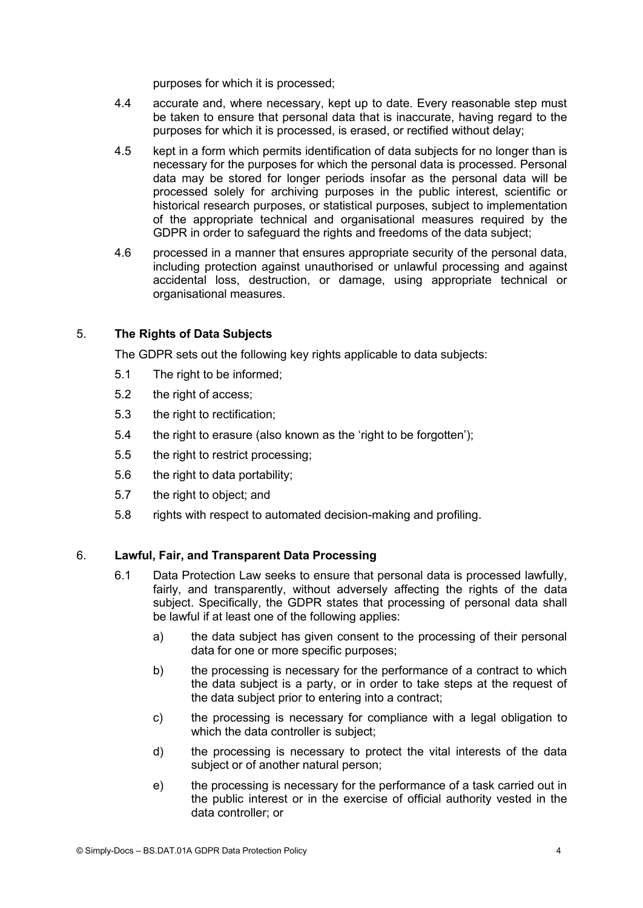purposes for which it is processed;

- 4.4 accurate and, where necessary, kept up to date. Every reasonable step must be taken to ensure that personal data that is inaccurate, having regard to the purposes for which it is processed, is erased, or rectified without delay;
- 4.5 kept in a form which permits identification of data subjects for no longer than is necessary for the purposes for which the personal data is processed. Personal data may be stored for longer periods insofar as the personal data will be processed solely for archiving purposes in the public interest, scientific or historical research purposes, or statistical purposes, subject to implementation of the appropriate technical and organisational measures required by the GDPR in order to safeguard the rights and freedoms of the data subject;
- 4.6 processed in a manner that ensures appropriate security of the personal data, including protection against unauthorised or unlawful processing and against accidental loss, destruction, or damage, using appropriate technical or organisational measures.

# 5. **The Rights of Data Subjects**

The GDPR sets out the following key rights applicable to data subjects:

- 5.1 The right to be informed;
- 5.2 the right of access;
- 5.3 the right to rectification;
- 5.4 the right to erasure (also known as the 'right to be forgotten');
- 5.5 the right to restrict processing;
- 5.6 the right to data portability;
- 5.7 the right to object; and
- 5.8 rights with respect to automated decision-making and profiling.

### 6. **Lawful, Fair, and Transparent Data Processing**

- 6.1 Data Protection Law seeks to ensure that personal data is processed lawfully, fairly, and transparently, without adversely affecting the rights of the data subject. Specifically, the GDPR states that processing of personal data shall be lawful if at least one of the following applies:
	- a) the data subject has given consent to the processing of their personal data for one or more specific purposes;
	- b) the processing is necessary for the performance of a contract to which the data subject is a party, or in order to take steps at the request of the data subject prior to entering into a contract;
	- c) the processing is necessary for compliance with a legal obligation to which the data controller is subject;
	- d) the processing is necessary to protect the vital interests of the data subject or of another natural person;
	- e) the processing is necessary for the performance of a task carried out in the public interest or in the exercise of official authority vested in the data controller; or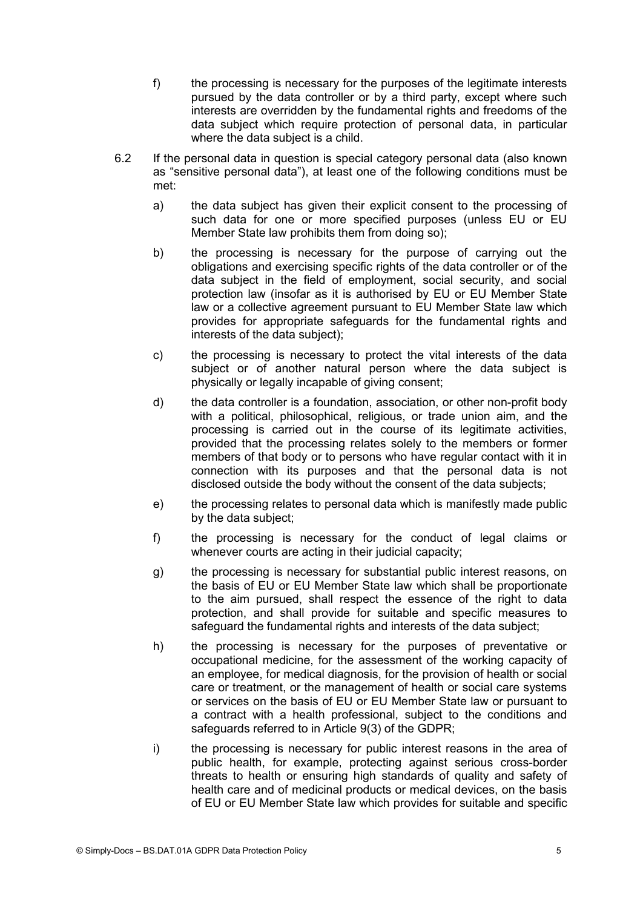- f) the processing is necessary for the purposes of the legitimate interests pursued by the data controller or by a third party, except where such interests are overridden by the fundamental rights and freedoms of the data subject which require protection of personal data, in particular where the data subject is a child.
- 6.2 If the personal data in question is special category personal data (also known as "sensitive personal data"), at least one of the following conditions must be met:
	- a) the data subject has given their explicit consent to the processing of such data for one or more specified purposes (unless EU or EU Member State law prohibits them from doing so);
	- b) the processing is necessary for the purpose of carrying out the obligations and exercising specific rights of the data controller or of the data subject in the field of employment, social security, and social protection law (insofar as it is authorised by EU or EU Member State law or a collective agreement pursuant to EU Member State law which provides for appropriate safeguards for the fundamental rights and interests of the data subject);
	- c) the processing is necessary to protect the vital interests of the data subject or of another natural person where the data subject is physically or legally incapable of giving consent;
	- d) the data controller is a foundation, association, or other non-profit body with a political, philosophical, religious, or trade union aim, and the processing is carried out in the course of its legitimate activities, provided that the processing relates solely to the members or former members of that body or to persons who have regular contact with it in connection with its purposes and that the personal data is not disclosed outside the body without the consent of the data subjects;
	- e) the processing relates to personal data which is manifestly made public by the data subject;
	- f) the processing is necessary for the conduct of legal claims or whenever courts are acting in their judicial capacity;
	- g) the processing is necessary for substantial public interest reasons, on the basis of EU or EU Member State law which shall be proportionate to the aim pursued, shall respect the essence of the right to data protection, and shall provide for suitable and specific measures to safeguard the fundamental rights and interests of the data subject;
	- h) the processing is necessary for the purposes of preventative or occupational medicine, for the assessment of the working capacity of an employee, for medical diagnosis, for the provision of health or social care or treatment, or the management of health or social care systems or services on the basis of EU or EU Member State law or pursuant to a contract with a health professional, subject to the conditions and safeguards referred to in Article 9(3) of the GDPR;
	- i) the processing is necessary for public interest reasons in the area of public health, for example, protecting against serious cross-border threats to health or ensuring high standards of quality and safety of health care and of medicinal products or medical devices, on the basis of EU or EU Member State law which provides for suitable and specific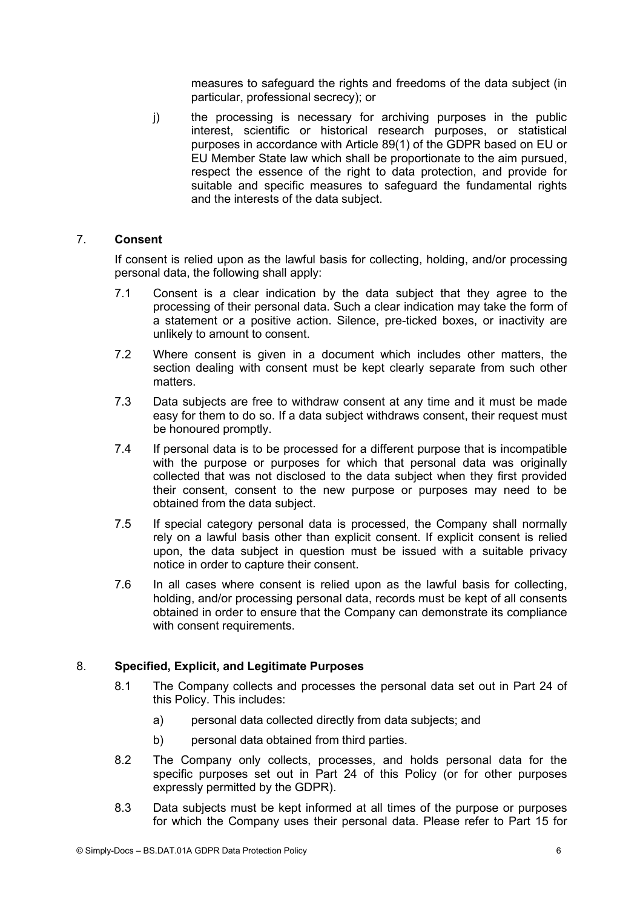measures to safeguard the rights and freedoms of the data subject (in particular, professional secrecy); or

j) the processing is necessary for archiving purposes in the public interest, scientific or historical research purposes, or statistical purposes in accordance with Article 89(1) of the GDPR based on EU or EU Member State law which shall be proportionate to the aim pursued, respect the essence of the right to data protection, and provide for suitable and specific measures to safeguard the fundamental rights and the interests of the data subject.

## 7. **Consent**

If consent is relied upon as the lawful basis for collecting, holding, and/or processing personal data, the following shall apply:

- 7.1 Consent is a clear indication by the data subject that they agree to the processing of their personal data. Such a clear indication may take the form of a statement or a positive action. Silence, pre-ticked boxes, or inactivity are unlikely to amount to consent.
- 7.2 Where consent is given in a document which includes other matters, the section dealing with consent must be kept clearly separate from such other matters.
- 7.3 Data subjects are free to withdraw consent at any time and it must be made easy for them to do so. If a data subject withdraws consent, their request must be honoured promptly.
- 7.4 If personal data is to be processed for a different purpose that is incompatible with the purpose or purposes for which that personal data was originally collected that was not disclosed to the data subject when they first provided their consent, consent to the new purpose or purposes may need to be obtained from the data subject.
- 7.5 If special category personal data is processed, the Company shall normally rely on a lawful basis other than explicit consent. If explicit consent is relied upon, the data subject in question must be issued with a suitable privacy notice in order to capture their consent.
- 7.6 In all cases where consent is relied upon as the lawful basis for collecting, holding, and/or processing personal data, records must be kept of all consents obtained in order to ensure that the Company can demonstrate its compliance with consent requirements.

# 8. **Specified, Explicit, and Legitimate Purposes**

- 8.1 The Company collects and processes the personal data set out in Part 24 of this Policy. This includes:
	- a) personal data collected directly from data subjects; and
	- b) personal data obtained from third parties.
- 8.2 The Company only collects, processes, and holds personal data for the specific purposes set out in Part 24 of this Policy (or for other purposes expressly permitted by the GDPR).
- 8.3 Data subjects must be kept informed at all times of the purpose or purposes for which the Company uses their personal data. Please refer to Part 15 for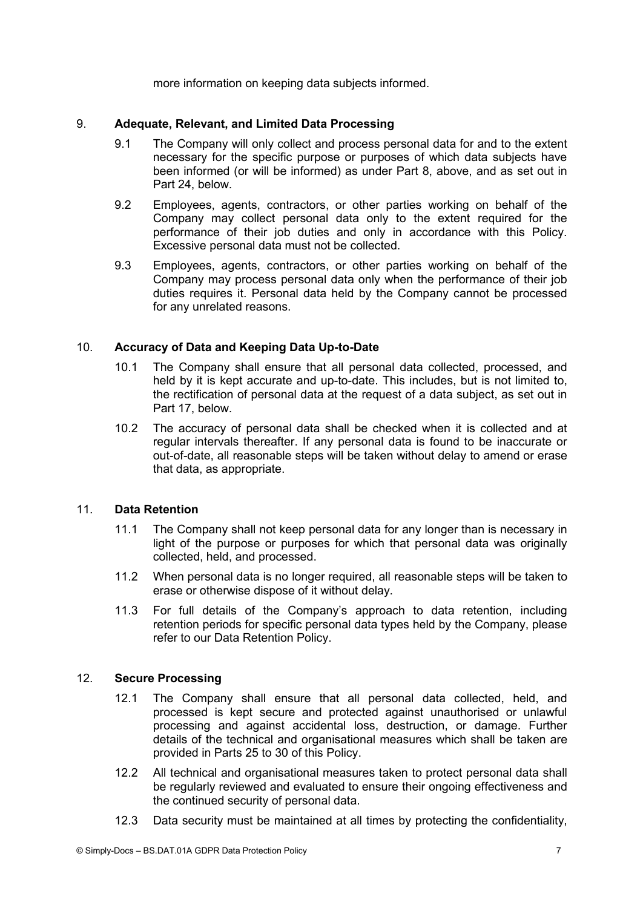more information on keeping data subjects informed.

### 9. **Adequate, Relevant, and Limited Data Processing**

- 9.1 The Company will only collect and process personal data for and to the extent necessary for the specific purpose or purposes of which data subjects have been informed (or will be informed) as under Part 8, above, and as set out in Part 24, below.
- 9.2 Employees, agents, contractors, or other parties working on behalf of the Company may collect personal data only to the extent required for the performance of their job duties and only in accordance with this Policy. Excessive personal data must not be collected.
- 9.3 Employees, agents, contractors, or other parties working on behalf of the Company may process personal data only when the performance of their job duties requires it. Personal data held by the Company cannot be processed for any unrelated reasons.

# 10. **Accuracy of Data and Keeping Data Up-to-Date**

- 10.1 The Company shall ensure that all personal data collected, processed, and held by it is kept accurate and up-to-date. This includes, but is not limited to, the rectification of personal data at the request of a data subject, as set out in Part 17, below.
- 10.2 The accuracy of personal data shall be checked when it is collected and at regular intervals thereafter. If any personal data is found to be inaccurate or out-of-date, all reasonable steps will be taken without delay to amend or erase that data, as appropriate.

# 11. **Data Retention**

- 11.1 The Company shall not keep personal data for any longer than is necessary in light of the purpose or purposes for which that personal data was originally collected, held, and processed.
- 11.2 When personal data is no longer required, all reasonable steps will be taken to erase or otherwise dispose of it without delay.
- 11.3 For full details of the Company's approach to data retention, including retention periods for specific personal data types held by the Company, please refer to our Data Retention Policy.

# 12. **Secure Processing**

- 12.1 The Company shall ensure that all personal data collected, held, and processed is kept secure and protected against unauthorised or unlawful processing and against accidental loss, destruction, or damage. Further details of the technical and organisational measures which shall be taken are provided in Parts 25 to 30 of this Policy.
- 12.2 All technical and organisational measures taken to protect personal data shall be regularly reviewed and evaluated to ensure their ongoing effectiveness and the continued security of personal data.
- 12.3 Data security must be maintained at all times by protecting the confidentiality,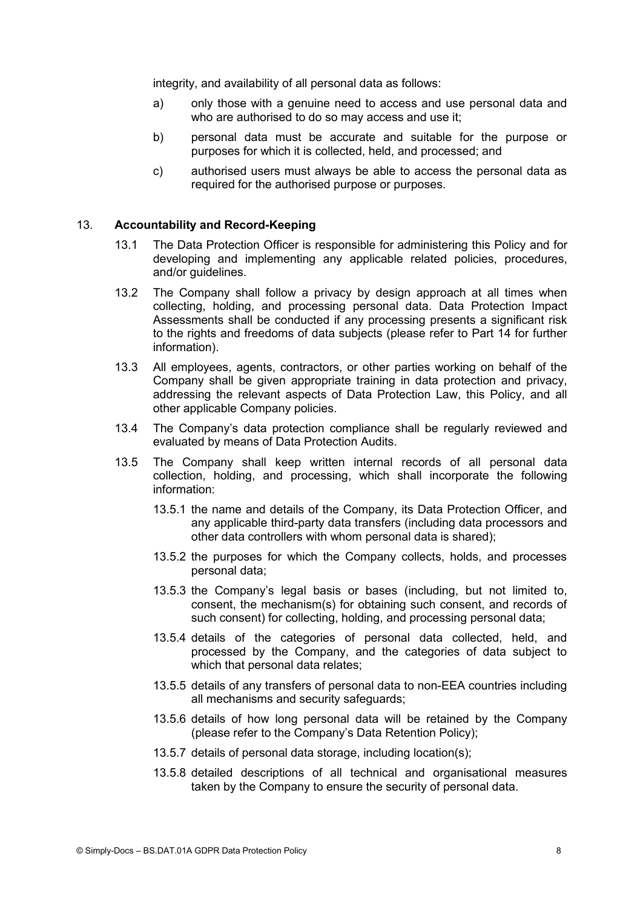integrity, and availability of all personal data as follows:

- a) only those with a genuine need to access and use personal data and who are authorised to do so may access and use it;
- b) personal data must be accurate and suitable for the purpose or purposes for which it is collected, held, and processed; and
- c) authorised users must always be able to access the personal data as required for the authorised purpose or purposes.

#### 13. **Accountability and Record-Keeping**

- 13.1 The Data Protection Officer is responsible for administering this Policy and for developing and implementing any applicable related policies, procedures, and/or guidelines.
- 13.2 The Company shall follow a privacy by design approach at all times when collecting, holding, and processing personal data. Data Protection Impact Assessments shall be conducted if any processing presents a significant risk to the rights and freedoms of data subjects (please refer to Part 14 for further information).
- 13.3 All employees, agents, contractors, or other parties working on behalf of the Company shall be given appropriate training in data protection and privacy, addressing the relevant aspects of Data Protection Law, this Policy, and all other applicable Company policies.
- 13.4 The Company's data protection compliance shall be regularly reviewed and evaluated by means of Data Protection Audits.
- 13.5 The Company shall keep written internal records of all personal data collection, holding, and processing, which shall incorporate the following information:
	- 13.5.1 the name and details of the Company, its Data Protection Officer, and any applicable third-party data transfers (including data processors and other data controllers with whom personal data is shared);
	- 13.5.2 the purposes for which the Company collects, holds, and processes personal data;
	- 13.5.3 the Company's legal basis or bases (including, but not limited to, consent, the mechanism(s) for obtaining such consent, and records of such consent) for collecting, holding, and processing personal data;
	- 13.5.4 details of the categories of personal data collected, held, and processed by the Company, and the categories of data subject to which that personal data relates;
	- 13.5.5 details of any transfers of personal data to non-EEA countries including all mechanisms and security safeguards;
	- 13.5.6 details of how long personal data will be retained by the Company (please refer to the Company's Data Retention Policy);
	- 13.5.7 details of personal data storage, including location(s);
	- 13.5.8 detailed descriptions of all technical and organisational measures taken by the Company to ensure the security of personal data.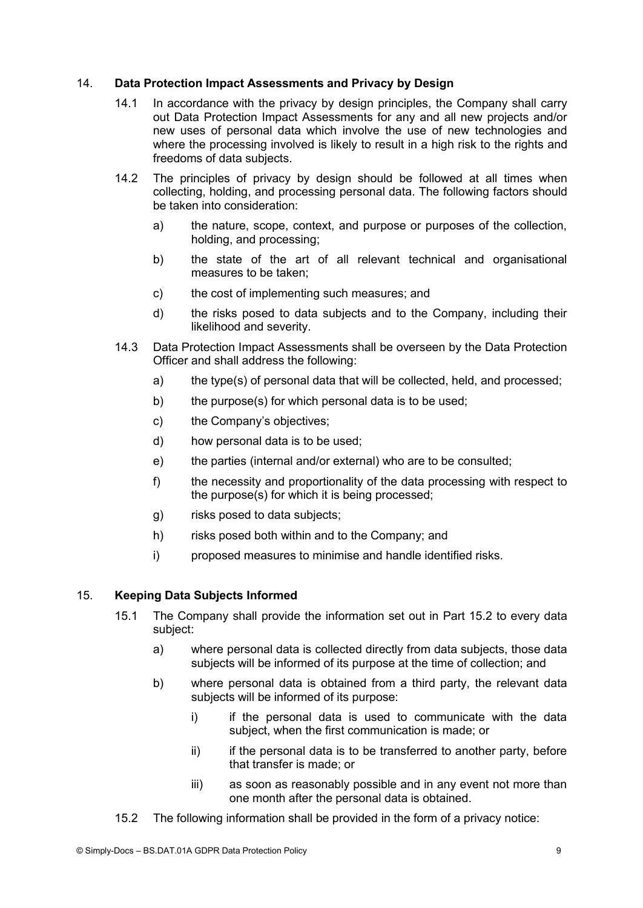# 14. **Data Protection Impact Assessments and Privacy by Design**

- 14.1 In accordance with the privacy by design principles, the Company shall carry out Data Protection Impact Assessments for any and all new projects and/or new uses of personal data which involve the use of new technologies and where the processing involved is likely to result in a high risk to the rights and freedoms of data subjects.
- 14.2 The principles of privacy by design should be followed at all times when collecting, holding, and processing personal data. The following factors should be taken into consideration:
	- a) the nature, scope, context, and purpose or purposes of the collection, holding, and processing;
	- b) the state of the art of all relevant technical and organisational measures to be taken;
	- c) the cost of implementing such measures; and
	- d) the risks posed to data subjects and to the Company, including their likelihood and severity.
- 14.3 Data Protection Impact Assessments shall be overseen by the Data Protection Officer and shall address the following:
	- a) the type(s) of personal data that will be collected, held, and processed;
	- b) the purpose(s) for which personal data is to be used;
	- c) the Company's objectives;
	- d) how personal data is to be used;
	- e) the parties (internal and/or external) who are to be consulted;
	- f) the necessity and proportionality of the data processing with respect to the purpose(s) for which it is being processed;
	- g) risks posed to data subjects;
	- h) risks posed both within and to the Company; and
	- i) proposed measures to minimise and handle identified risks.

# 15. **Keeping Data Subjects Informed**

- 15.1 The Company shall provide the information set out in Part 15.2 to every data subject:
	- a) where personal data is collected directly from data subjects, those data subjects will be informed of its purpose at the time of collection; and
	- b) where personal data is obtained from a third party, the relevant data subjects will be informed of its purpose:
		- i) if the personal data is used to communicate with the data subject, when the first communication is made; or
		- $ii)$  if the personal data is to be transferred to another party, before that transfer is made; or
		- iii) as soon as reasonably possible and in any event not more than<br>one month after the personal data is obtained.
- 15.2 The following information shall be provided in the form of a privacy notice: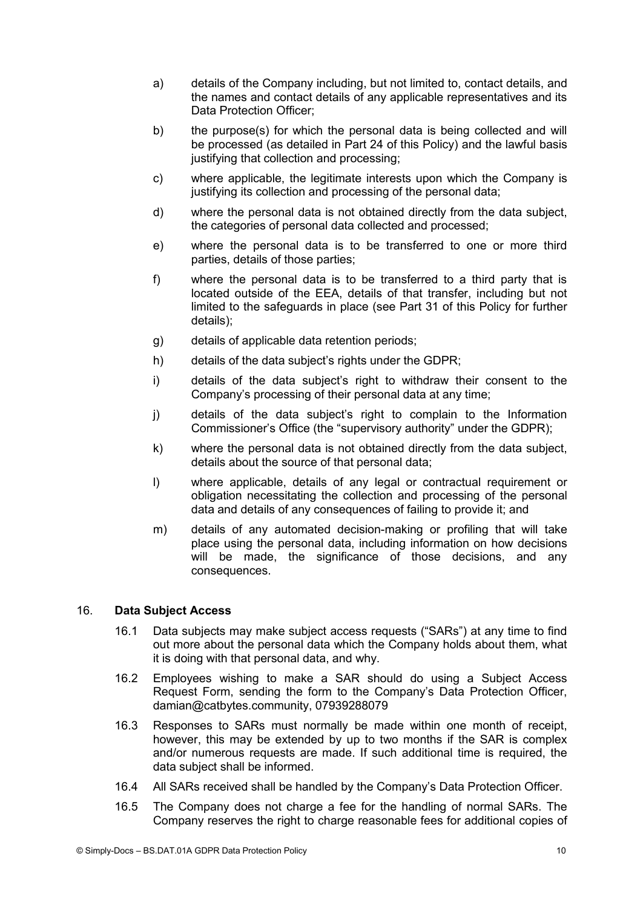- a) details of the Company including, but not limited to, contact details, and the names and contact details of any applicable representatives and its Data Protection Officer;
- b) the purpose(s) for which the personal data is being collected and will be processed (as detailed in Part 24 of this Policy) and the lawful basis justifying that collection and processing;
- c) where applicable, the legitimate interests upon which the Company is justifying its collection and processing of the personal data;
- d) where the personal data is not obtained directly from the data subject, the categories of personal data collected and processed;
- e) where the personal data is to be transferred to one or more third parties, details of those parties;
- f) where the personal data is to be transferred to a third party that is located outside of the EEA, details of that transfer, including but not limited to the safeguards in place (see Part 31 of this Policy for further details);
- g) details of applicable data retention periods;
- h) details of the data subject's rights under the GDPR;
- i) details of the data subject's right to withdraw their consent to the Company's processing of their personal data at any time;
- j) details of the data subject's right to complain to the Information Commissioner's Office (the "supervisory authority" under the GDPR);
- k) where the personal data is not obtained directly from the data subject, details about the source of that personal data;
- I) where applicable, details of any legal or contractual requirement or obligation necessitating the collection and processing of the personal data and details of any consequences of failing to provide it; and
- m) details of any automated decision-making or profiling that will take place using the personal data, including information on how decisions will be made, the significance of those decisions, and any consequences.

# 16. **Data Subject Access**

- 16.1 Data subjects may make subject access requests ("SARs") at any time to find out more about the personal data which the Company holds about them, what it is doing with that personal data, and why.
- 16.2 Employees wishing to make a SAR should do using a Subject Access Request Form, sending the form to the Company's Data Protection Officer, damian@catbytes.community, 07939288079
- 16.3 Responses to SARs must normally be made within one month of receipt, however, this may be extended by up to two months if the SAR is complex and/or numerous requests are made. If such additional time is required, the data subject shall be informed.
- 16.4 All SARs received shall be handled by the Company's Data Protection Officer.
- 16.5 The Company does not charge a fee for the handling of normal SARs. The Company reserves the right to charge reasonable fees for additional copies of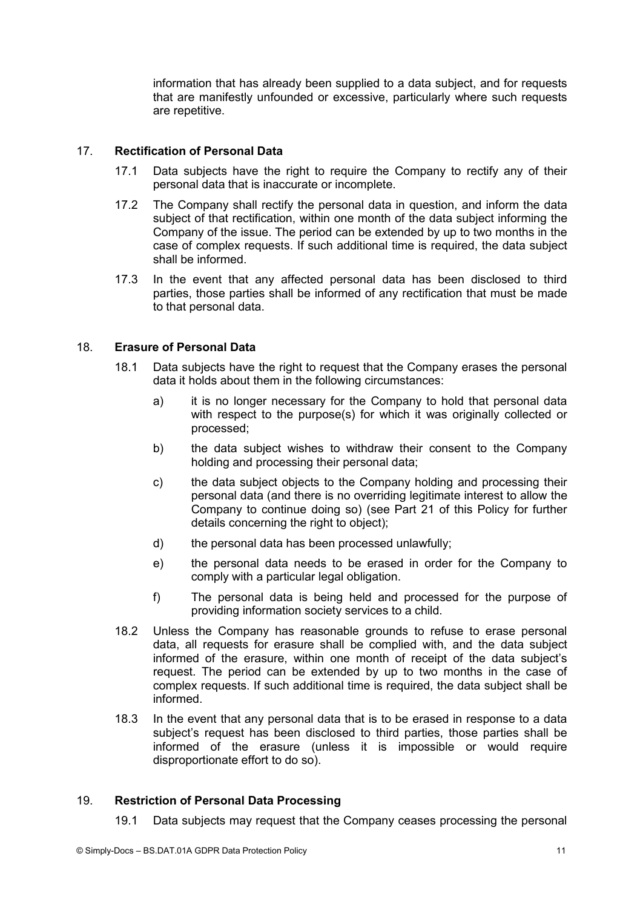information that has already been supplied to a data subject, and for requests that are manifestly unfounded or excessive, particularly where such requests are repetitive.

## 17. **Rectification of Personal Data**

- 17.1 Data subjects have the right to require the Company to rectify any of their personal data that is inaccurate or incomplete.
- 17.2 The Company shall rectify the personal data in question, and inform the data subject of that rectification, within one month of the data subject informing the Company of the issue. The period can be extended by up to two months in the case of complex requests. If such additional time is required, the data subject shall be informed.
- 17.3 In the event that any affected personal data has been disclosed to third parties, those parties shall be informed of any rectification that must be made to that personal data.

# 18. **Erasure of Personal Data**

- 18.1 Data subjects have the right to request that the Company erases the personal data it holds about them in the following circumstances:
	- a) it is no longer necessary for the Company to hold that personal data with respect to the purpose(s) for which it was originally collected or processed;
	- b) the data subject wishes to withdraw their consent to the Company holding and processing their personal data;
	- c) the data subject objects to the Company holding and processing their personal data (and there is no overriding legitimate interest to allow the Company to continue doing so) (see Part 21 of this Policy for further details concerning the right to object);
	- d) the personal data has been processed unlawfully;
	- e) the personal data needs to be erased in order for the Company to comply with a particular legal obligation.
	- f) The personal data is being held and processed for the purpose of providing information society services to a child.
- 18.2 Unless the Company has reasonable grounds to refuse to erase personal data, all requests for erasure shall be complied with, and the data subject informed of the erasure, within one month of receipt of the data subject's request. The period can be extended by up to two months in the case of complex requests. If such additional time is required, the data subject shall be informed.
- 18.3 In the event that any personal data that is to be erased in response to a data subject's request has been disclosed to third parties, those parties shall be informed of the erasure (unless it is impossible or would require disproportionate effort to do so).

#### 19. **Restriction of Personal Data Processing**

19.1 Data subjects may request that the Company ceases processing the personal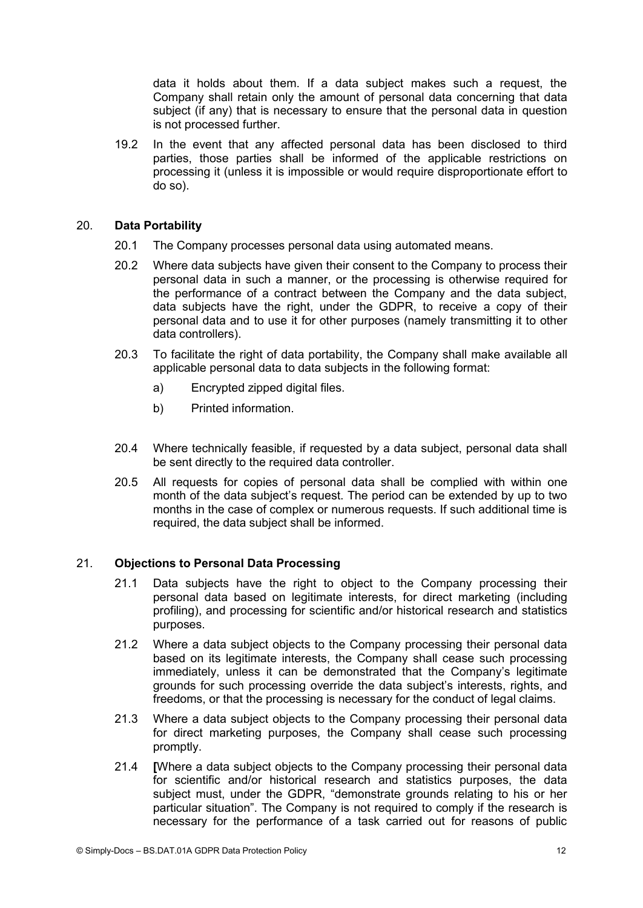data it holds about them. If a data subject makes such a request, the Company shall retain only the amount of personal data concerning that data subject (if any) that is necessary to ensure that the personal data in question is not processed further.

19.2 In the event that any affected personal data has been disclosed to third parties, those parties shall be informed of the applicable restrictions on processing it (unless it is impossible or would require disproportionate effort to do so).

#### 20. **Data Portability**

- 20.1 The Company processes personal data using automated means.
- 20.2 Where data subjects have given their consent to the Company to process their personal data in such a manner, or the processing is otherwise required for the performance of a contract between the Company and the data subject, data subjects have the right, under the GDPR, to receive a copy of their personal data and to use it for other purposes (namely transmitting it to other data controllers).
- 20.3 To facilitate the right of data portability, the Company shall make available all applicable personal data to data subjects in the following format:
	- a) Encrypted zipped digital files.
	- b) Printed information.
- 20.4 Where technically feasible, if requested by a data subject, personal data shall be sent directly to the required data controller.
- 20.5 All requests for copies of personal data shall be complied with within one month of the data subject's request. The period can be extended by up to two months in the case of complex or numerous requests. If such additional time is required, the data subject shall be informed.

#### 21. **Objections to Personal Data Processing**

- 21.1 Data subjects have the right to object to the Company processing their personal data based on legitimate interests, for direct marketing (including profiling), and processing for scientific and/or historical research and statistics purposes.
- 21.2 Where a data subject objects to the Company processing their personal data based on its legitimate interests, the Company shall cease such processing immediately, unless it can be demonstrated that the Company's legitimate grounds for such processing override the data subject's interests, rights, and freedoms, or that the processing is necessary for the conduct of legal claims.
- 21.3 Where a data subject objects to the Company processing their personal data for direct marketing purposes, the Company shall cease such processing promptly.
- 21.4 **[**Where a data subject objects to the Company processing their personal data for scientific and/or historical research and statistics purposes, the data subject must, under the GDPR, "demonstrate grounds relating to his or her particular situation". The Company is not required to comply if the research is necessary for the performance of a task carried out for reasons of public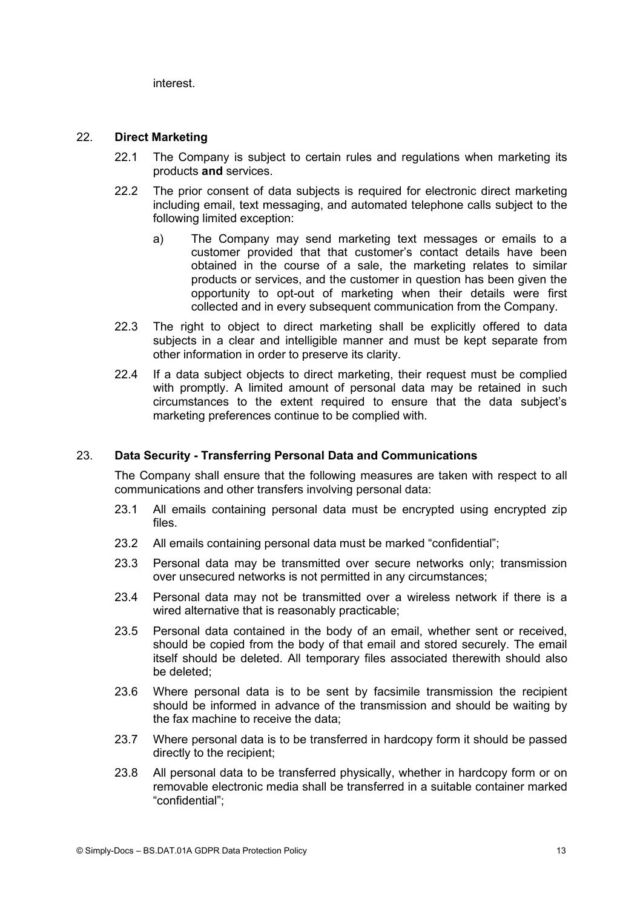interest.

## 22. **Direct Marketing**

- 22.1 The Company is subject to certain rules and regulations when marketing its products **and** services.
- 22.2 The prior consent of data subjects is required for electronic direct marketing including email, text messaging, and automated telephone calls subject to the following limited exception:
	- a) The Company may send marketing text messages or emails to a customer provided that that customer's contact details have been obtained in the course of a sale, the marketing relates to similar products or services, and the customer in question has been given the opportunity to opt-out of marketing when their details were first collected and in every subsequent communication from the Company.
- 22.3 The right to object to direct marketing shall be explicitly offered to data subjects in a clear and intelligible manner and must be kept separate from other information in order to preserve its clarity.
- 22.4 If a data subject objects to direct marketing, their request must be complied with promptly. A limited amount of personal data may be retained in such circumstances to the extent required to ensure that the data subject's marketing preferences continue to be complied with.

## 23. **Data Security - Transferring Personal Data and Communications**

The Company shall ensure that the following measures are taken with respect to all communications and other transfers involving personal data:

- 23.1 All emails containing personal data must be encrypted using encrypted zip files.
- 23.2 All emails containing personal data must be marked "confidential";
- 23.3 Personal data may be transmitted over secure networks only; transmission over unsecured networks is not permitted in any circumstances;
- 23.4 Personal data may not be transmitted over a wireless network if there is a wired alternative that is reasonably practicable;
- 23.5 Personal data contained in the body of an email, whether sent or received, should be copied from the body of that email and stored securely. The email itself should be deleted. All temporary files associated therewith should also be deleted;
- 23.6 Where personal data is to be sent by facsimile transmission the recipient should be informed in advance of the transmission and should be waiting by the fax machine to receive the data;
- 23.7 Where personal data is to be transferred in hardcopy form it should be passed directly to the recipient;
- 23.8 All personal data to be transferred physically, whether in hardcopy form or on removable electronic media shallbe transferred in a suitable container marked "confidential";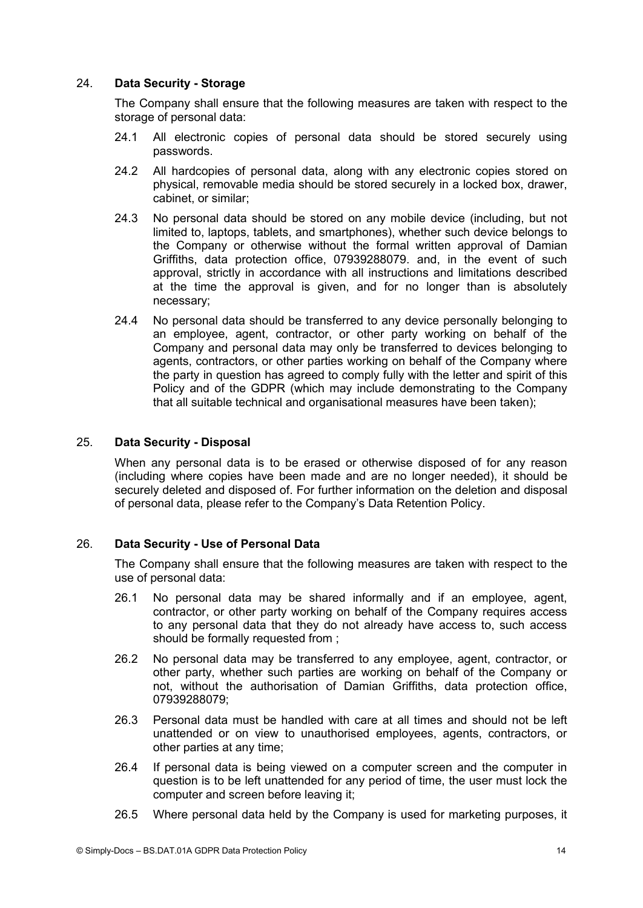# 24. **Data Security - Storage**

The Company shall ensure that the following measures are taken with respect to the storage of personal data:

- 24.1 All electronic copies of personal data should be stored securely using passwords.
- 24.2 All hardcopies of personal data, along with any electronic copies stored on physical, removable media should be stored securely in a locked box, drawer, cabinet, or similar;
- 24.3 No personal data should be stored on any mobile device (including, but not limited to, laptops, tablets, and smartphones), whether such device belongs to the Company or otherwise without the formal written approval of Damian Griffiths, data protection office, 07939288079. and, in the event of such approval, strictly in accordance with all instructions and limitations described at the time the approval is given, and for no longer than is absolutely necessary;
- 24.4 No personal data should be transferred to any device personally belonging to an employee, agent, contractor, or other party working on behalf of the Company and personal data may only be transferred to devices belonging to agents, contractors, or other parties working on behalf of the Company where the party in question has agreed to comply fully with the letterand spirit of this Policy and of the GDPR (which may include demonstrating to the Company that all suitable technical and organisational measures have been taken);

## 25. **Data Security - Disposal**

When any personal data is to be erased or otherwise disposed of for any reason (including where copies have been made and are no longer needed), it should be securely deleted and disposed of. For further information on the deletion and disposal of personal data, please refer to the Company's Data Retention Policy.

## 26. **Data Security - Use of Personal Data**

The Company shall ensure that the following measures are taken with respect to the use of personal data:

- 26.1 No personal data may be shared informally and if an employee, agent, contractor, or other party working on behalf of the Company requires access to any personal data that they do not already have access to, such access should be formally requested from ;
- 26.2 No personal data may be transferred to any employee, agent, contractor, or other party, whether such parties are working on behalf of the Company or not, without the authorisation of Damian Griffiths, data protection office, 07939288079;
- 26.3 Personal data must be handled with care at all times and should not be left unattended or on view to unauthorised employees, agents, contractors, or other parties at any time;
- 26.4 If personal data is being viewed on a computer screen and the computer in question is to be left unattended for any period of time, the user must lock the computer and screen before leaving it;
- 26.5 Where personal data held by the Company is used for marketing purposes, it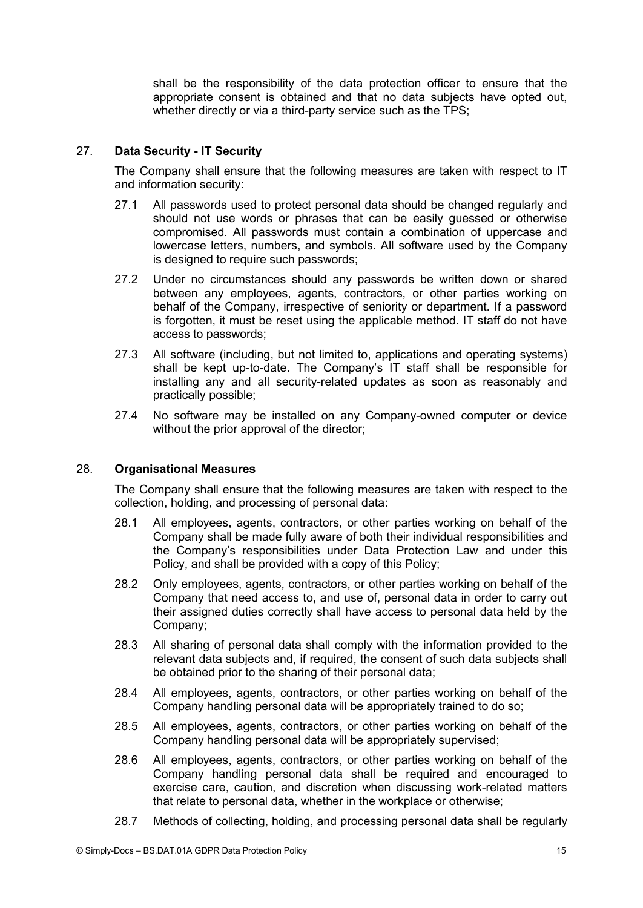shall be the responsibility of the data protection officer to ensure that the appropriate consent is obtained and that no data subjects have opted out, whether directly or via a third-party service such as the TPS;

# 27. **Data Security - IT Security**

The Company shall ensure that the following measures are taken with respect to IT and information security:

- 27.1 All passwords used to protect personal data should be changed regularly and should not use words or phrases that can be easily guessed or otherwise compromised. All passwords must contain a combination of uppercase and lowercase letters, numbers, and symbols. All software used by the Company is designed to require such passwords;
- 27.2 Under no circumstances should any passwords be written down or shared between any employees, agents, contractors, or other parties working on behalf of the Company, irrespective of seniority or department. If a password is forgotten, it must be reset using the applicable method. IT staff do not have access to passwords;
- 27.3 All software (including, but not limited to, applications and operating systems) shall be kept up-to-date. The Company's IT staff shall be responsible for installing any and all security-related updates as soon as reasonably and practically possible;
- 27.4 No software may be installed on any Company-owned computer or device without the prior approval of the director;

#### 28. **Organisational Measures**

The Company shall ensure that the following measures are taken with respect to the collection, holding, and processing of personal data:

- 28.1 All employees, agents, contractors, or other parties working on behalf of the Company shall be made fully aware of both their individual responsibilities and the Company's responsibilities under Data Protection Law and under this Policy, and shall be provided with a copy of this Policy;
- 28.2 Only employees, agents, contractors, or other parties working on behalf of the Company that need access to, and use of, personal data in order to carry out their assigned duties correctly shall have access to personal data held by the Company;
- 28.3 All sharing of personal data shall comply with the information provided to the relevant data subjects and, if required, the consent of such data subjects shall be obtained prior to the sharing of their personal data;
- 28.4 All employees, agents, contractors, or other parties working on behalf of the Company handling personal data will be appropriately trained to do so;
- 28.5 All employees, agents, contractors, or other parties working on behalf of the Company handling personal data will be appropriately supervised;
- 28.6 All employees, agents, contractors, or other parties working on behalf of the Company handling personal data shall be required and encouraged to exercise care, caution, and discretion when discussing work-related matters that relate to personal data, whether in the workplace or otherwise;
- 28.7 Methods of collecting, holding, and processing personal data shall be regularly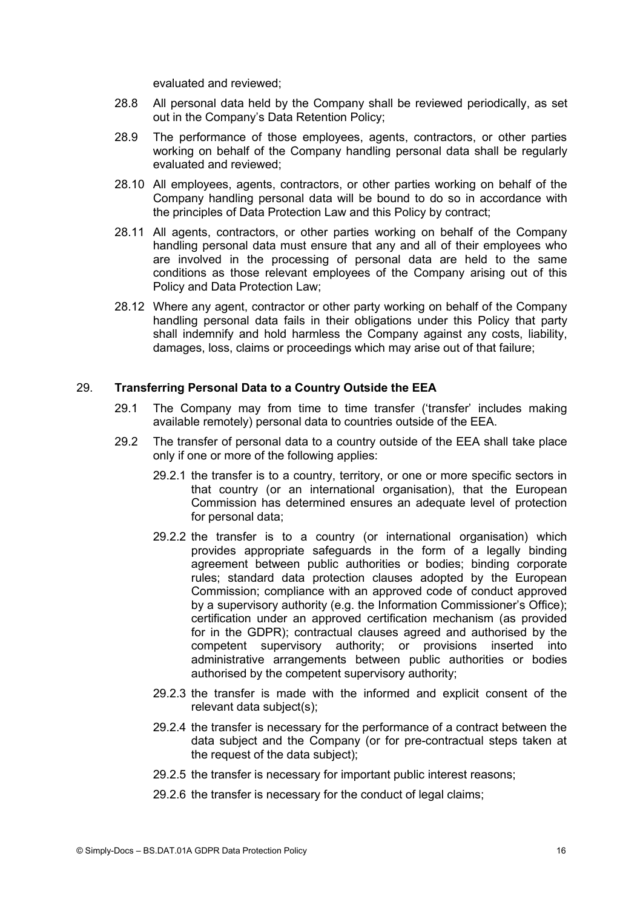evaluated and reviewed;

- 28.8 All personal data held by the Company shall be reviewed periodically, as set out in the Company's Data Retention Policy;
- 28.9 The performance of those employees, agents, contractors, or other parties working on behalf of the Company handling personal data shall be regularly evaluated and reviewed;
- 28.10 All employees, agents, contractors, or other parties working on behalf of the Company handling personal data will be bound to do so in accordance with the principles of Data Protection Law and this Policy by contract;
- 28.11 All agents, contractors, or other parties working on behalf of the Company handling personal data must ensure that any and all of their employees who are involved in the processing of personal data are held to the same conditions as those relevant employees of the Company arising out of this Policy and Data Protection Law;
- 28.12 Where any agent, contractor or other party working on behalf of the Company handling personal data fails in their obligations under this Policy that party shall indemnify and hold harmless the Company against any costs, liability, damages, loss, claims or proceedings which may arise out of that failure;

### 29. **Transferring Personal Data to a Country Outside the EEA**

- 29.1 The Company may from time to time transfer ('transfer' includes making available remotely) personal data to countries outside of the EEA.
- 29.2 The transfer of personal data to a country outside of the EEA shall take place only if one or more of the following applies:
	- 29.2.1 the transfer is to a country, territory, or one or more specific sectors in that country (or an international organisation), that the European Commission has determined ensures an adequate level of protection for personal data;
	- 29.2.2 the transfer is to a country (or international organisation) which provides appropriate safeguards in the form of a legally binding agreement between public authorities or bodies; binding corporate rules; standard data protection clauses adopted by the European Commission; compliance with an approved code of conduct approved by a supervisory authority (e.g. the Information Commissioner's Office); certification under an approved certification mechanism (as provided for in the GDPR); contractual clauses agreed and authorised by the competent supervisory authority; or provisions inserted into administrative arrangements between public authorities or bodies authorised by the competent supervisory authority;
	- 29.2.3 the transfer is made with the informed and explicit consent of the relevant data subject(s);
	- 29.2.4 the transfer is necessary for the performance of a contract between the data subject and the Company (or for pre-contractual steps taken at the request of the data subject);
	- 29.2.5 the transfer is necessary for important public interest reasons;
	- 29.2.6 the transfer is necessary for the conduct of legal claims;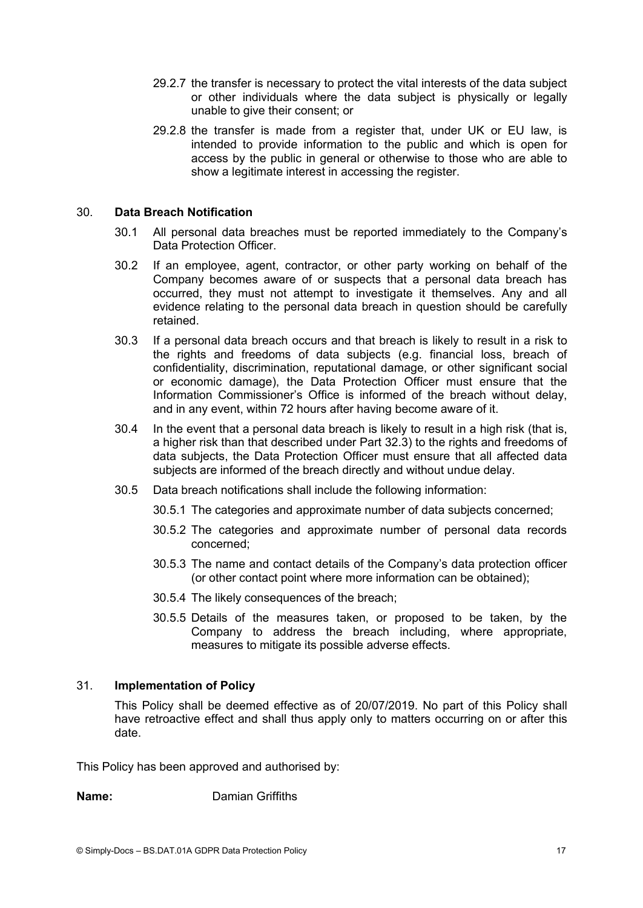- 29.2.7 the transfer is necessary to protect the vital interests of the data subject or other individuals where the data subject is physically or legally unable to give their consent; or
- 29.2.8 the transfer is made from a register that, under UK or EU law, is intended to provide information to the public and which is open for access by the public in general or otherwise to those who are able to show a legitimate interest in accessing the register.

## 30. **Data Breach Notification**

- 30.1 All personal data breaches must be reported immediately to the Company's Data Protection Officer.
- 30.2 If an employee, agent, contractor, or other party working on behalf of the Company becomes aware of or suspects that a personal data breach has occurred, they must not attempt to investigate it themselves. Any and all evidence relating to the personal data breach in question should be carefully retained.
- 30.3 If a personal data breach occurs and that breach islikely to result in a risk to the rights and freedoms of data subjects (e.g. financial loss, breach of confidentiality, discrimination, reputational damage, or other significant social or economic damage), the Data Protection Officer must ensure that the Information Commissioner's Office is informed of the breach without delay, and in any event, within 72 hours after having become aware of it.
- 30.4 In the event that a personal data breach islikely to result in a high risk (that is, a higher risk than that described under Part 32.3) to the rights and freedoms of data subjects, the Data Protection Officer must ensure that all affected data subjects are informed of the breach directly and without undue delay.
- 30.5 Data breach notifications shall include the following information:
	- 30.5.1 The categories and approximate number of data subjects concerned;
	- 30.5.2 The categories and approximate number of personal data records concerned;
	- 30.5.3 The name and contact details of the Company's data protection officer (or other contact point where more information can be obtained);
	- 30.5.4 The likely consequences of the breach;
	- 30.5.5 Details of the measures taken, or proposed to be taken, by the Company to address the breach including, where appropriate, measures to mitigate its possible adverse effects.

#### 31. **Implementation of Policy**

This Policy shall be deemed effective as of 20/07/2019. No part of this Policy shall have retroactive effect and shall thus apply only to matters occurring on or after this date.

This Policy has been approved and authorised by:

**Name:** Damian Griffiths